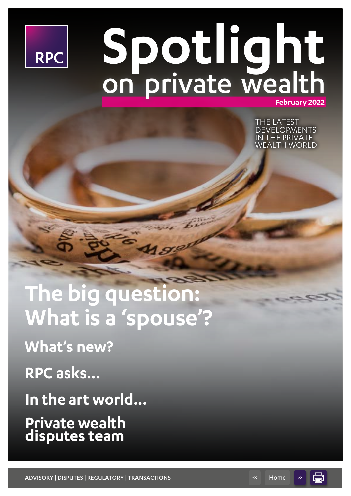

# **Spotlight February 2022** on private wealth

THE LATEST **DEVELOPMENTS** IN THE PRIVATE WEALTH WORLD

# **The big question: What is a 'spouse'?**

**What's new?**

**RPC asks...**

**In the art world...**

**Private wealth disputes team**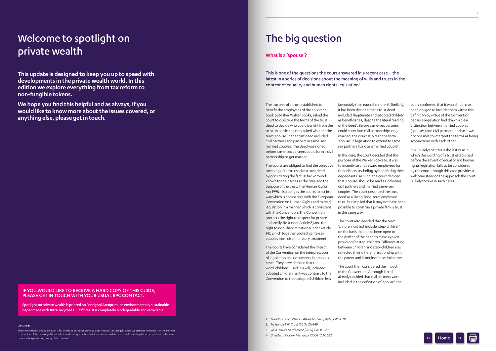## Welcome to spotlight on The big question private wealth

The trustees of a trust established to benefit the employees of the children's book publisher Walker Books, asked the court to construe the terms of the trust deed to decide who could benefit from the trust. In particular, they asked whether the term 'spouse' in the trust deed included civil partners and partners in same-sex married couples. The deed was signed before same-sex partners could form a civil partnership or get married.

The courts are obliged to find the objective meaning of terms used in a trust deed, by considering the factual background known to the parties at the time and the purpose of the trust. The Human Rights Act 1998, also obliges the courts to act in a way which is compatible with the European Convention on Human Rights and to read legislation in a manner which is consistent with the Convention. The Convention protects the right to respect for private and family life (under Article 8) and the right to non-discrimination (under Article 14), which together protect same-sex couples from discriminatory treatment.

The courts have considered the impact of the Convention on the interpretation of legislation and documents in previous cases. They have decided that the word 'children', used in a will, included adopted children, as it was contrary to the Convention to treat adopted children less

favourably than natural children<sup>2</sup>. Similarly, it has been decided that a trust deed included illegitimate and adopted children as beneficiaries, despite the literal reading of the deed<sup>3</sup>. Before same-sex partners could enter into civil partnerships or get married, the court also read the term 'spouse' in legislation to extend to samesex partners living as a married couple<sup>4</sup>.

This is one of the questions the court answered in a recent case – the latest in a series of decisions about the meaning of wills and trusts in the context of equality and human rights legislation<sup>1</sup>.

> In this case, the court decided that the purpose of the Walker Books trust was to incentivise and reward employees for their efforts, including by benefitting their dependants. As such, the court decided that 'spouse' should be read as including civil partners and married same-sex couples. The court described the trust deed as a 'living' long-term employee trust, but implied that it may not have been possible to construe a private family trust in the same way.

The court also decided that the term 'children' did not include 'step-children' on the basis that it had been open to the drafter of the deed to make explicit provision for step-children. Differentiating between children and step-children also reflected their different relationship with the parent and is not itself discriminatory.

The court then considered the impact of the Convention. Although it had already decided that civil partners were included in the definition of 'spouse', the court confirmed that it would not have been obliged to include them within this definition by virtue of the Convention because legislation had drawn a clear distinction between married couples (spouses) and civil partners, and so it was not possible to interpret the terms as being synonymous with each other.

It is unlikely that this is the last case in which the wording of a trust established before the advent of equality and human rights legislation falls to be considered by the court, though this case provides a welcome steer on the approach the court is likely to take in such cases.

#### Disclaimer

The information in this publication is for guidance purposes only and does not constitute legal advice. We attempt to ensure that the content is current as of the date of publication but we do not guarantee that it remains up to date. You should seek legal or other professional advice before acting or relying on any of the content.

**This update is designed to keep you up to speed with developments in the private wealth world. In this edition we explore everything from tax reform to non-fungible tokens.**

**We hope you find this helpful and as always, if you would like to know more about the issues covered, or anything else, please get in touch.**

### What is a 'spouse'?

<span id="page-1-0"></span>1. *Goodrich and others v AB and others [2022] EWHC 81.*

- 2. *Re Hand's Will Trust [2017] Ch 449.*
- 3. *Re JC Druce Settlement [2019] EWHC 3701.*
- 4. *Ghaidan v Godin- Mendoza [2004] 2 AC 557.*

#### IF YOU WOULD LIKE TO RECEIVE A HARD COPY OF THIS GUIDE, PLEASE GET IN TOUCH WITH YOUR USUAL RPC CONTACT.

Spotlight on private wealth is printed on Fedrigoni Arcoprint, an environmentally sustainable paper made with 100% recycled FSC® fibres. It is completely biodegradable and recyclable.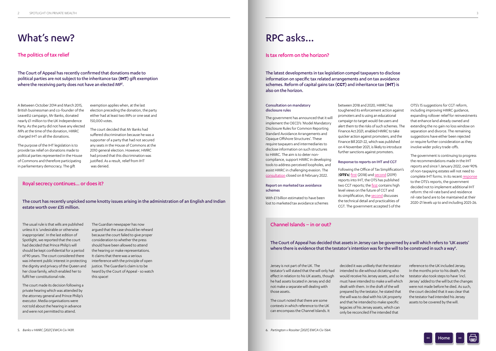### [What's new?](mailto:alex.almaguer%40rpc.co.uk?subject=)

A Between October 2014 and March 2015, British businessman and co-founder of the LeaveEU campaign, Mr Banks, donated nearly £1 million to the UK Independence Party. As the party did not have any elected MPs at the time of the donation, HMRC charged IHT on all the donations.

The purpose of the IHT legislation is to provide tax relief on donations made to political parties represented in the House of Commons and therefore participating in parliamentary democracy. The gift

The Court of Appeal has recently confirmed that donations made to political parties are not subject to the inheritance tax (**IHT**) gift exemption where the receiving party does not have an elected MP<sup>5</sup>.

> exemption applies when, at the last election preceding the donation, the party either had at least two MPs or one seat and 150,000 votes.

The court decided that Mr Banks had suffered discrimination because he was a supporter of a party that had not secured any seats in the House of Commons at the 2010 general election. However, HMRC had proved that this discrimination was justified. As a result, relief from IHT was denied.

### The politics of tax relief

#### Royal secrecy continues... or does it?

The court has recently unpicked some knotty issues arising in the administration of an English and Indian estate worth over £35 million.

The usual rule is that wills are published unless it is 'undesirable or otherwise inappropriate'. In the last edition of Spotlight, we reported that the court had decided that Prince Philip's will should be kept confidential for a period of 90 years. The court considered there was inherent public interest in protecting the dignity and privacy of the Queen and her close family, which enabled her to fulfil her constitutional role.

The court made its decision following a private hearing which was attended by the attorney general and Prince Philip's executor. Media organisations were not told about the hearing in advance and were not permitted to attend.

The Guardian newspaper has now argued that the case should be reheard because the court failed to give proper consideration to whether the press should have been allowed to attend the hearing or make representations. It claims that there was a serious interference with the principle of open justice. The Guardian's claim is to be heard by the Court of Appeal - so watch this space!

The Court of Appeal has decided that assets in Jersey can be governed by a will which refers to 'UK assets' where there is evidence that the testator's intention was for the will to be construed in such a way<sup>6</sup>.

## RPC asks...

#### Consultation on mandatory disclosure rules

The government has announced that it will implement the OECD's 'Model Mandatory Disclosure Rules for Common Reporting Standard Avoidance Arrangements and Opaque Offshore Structures'. These require taxpayers and intermediaries to disclose information on such structures to HMRC. The aim is to deter noncompliance, support HMRC in developing tools to address perceived loopholes, and assist HMRC in challenging evasion. The

[consultation](https://www.gov.uk/government/consultations/mandatory-disclosure-rules) closed on 8 February 2022.

Report on marketed tax avoidance schemes

With £1 billion estimated to have been lost to marketed tax avoidance schemes

between 2018 and 2020, HMRC has toughened its enforcement action against promoters and is using an educational campaign to target would-be users and alert them to the risks of such schemes. The Finance Act 2021, enabled HMRC to take quicker action against promoters, and the Finance Bill 2021-22, which was published on 4 November 2021, is likely to introduce further sanctions against promoters.

#### Response to reports on IHT and CGT

Following the Office of Tax Simplification's (**OTS's**) [first](https://www.gov.uk/government/publications/office-of-tax-simplification-inheritance-tax-review) (2018) and [second](https://www.gov.uk/government/publications/ots-inheritance-tax-review-simplifying-the-design-of-the-tax) (2019) reports into IHT, the OTS has published two CGT reports; the [first](https://www.gov.uk/government/publications/ots-inheritance-tax-review-simplifying-the-design-of-the-tax) contains high level views on the future of CGT and its simplification, the [second](https://www.gov.uk/government/publications/ots-inheritance-tax-review-simplifying-the-design-of-the-tax) discusses the technical detail and practicalities of CGT. The government accepted 5 of the

OTS's 15 suggestions for CGT reform, including improving HMRC guidance, expanding rollover relief for reinvestments that enhance land already owned and extending the no gain no loss window on separation and divorce. The remaining suggestions have either been rejected or require further consideration as they involve wider policy trade-offs.

The government is continuing to progress the recommendations made in the IHT reports and since 1 January 2022, over 90% of non-taxpaying estates will not need to complete IHT forms. In its recent [response](https://assets.publishing.service.gov.uk/government/uploads/system/uploads/attachment_data/file/1037178/FINAL_FST_response_to_OTS.pdf) to the OTS's reports, the government decided not to implement additional IHT reform: the nil-rate band and residence nil-rate band are to be maintained at their 2020-21 levels up to and including 2025-26.

### Is tax reform on the horizon?

The latest developments in tax legislation compel taxpayers to disclose information on specific tax related arrangements and on tax avoidance schemes. Reform of capital gains tax (**CGT**) and inheritance tax (**IHT**) is also on the horizon.

### Channel Islands – in or out?

Jersey is not part of the UK. The testator's will stated that the will only had effect in relation to his UK assets, though he had assets located in Jersey and did not make a separate will dealing with those assets.

The court noted that there are some contexts in which reference to the UK can encompass the Channel Islands. It

decided it was unlikely that the testator intended to die without dictating who would receive his Jersey assets, and so he must have intended to make a will which dealt with them. In the draft of the will prepared by the testator, he stated that the will was to deal with his UK property and that he intended to make specific legacies of his Jersey assets, which can only be reconciled if he intended that

reference to the UK included Jersey. In the months prior to his death, the testator also took steps to have 'incl. Jersey' added to the will but the changes were not made before he died. As such, the court decided that it was clear that the testator had intended his Jersey assets to be covered by the will.

Home  $\rightarrow$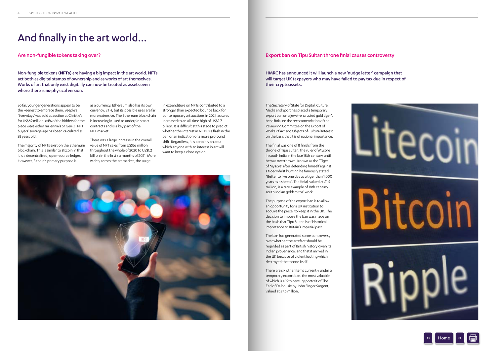The Secretary of State for Digital, Culture, Media and Sport has placed a temporary export ban on a jewel-encrusted gold tiger's head finial on the recommendation of the Reviewing Committee on the Export of Works of Art and Objects of Cultural Interest on the basis that it is of national importance.

The finial was one of 8 finials from the throne of Tipu Sultan, the ruler of Mysore in south India in the late 18th century until he was overthrown. Known as the 'Tiger of Mysore' after defending himself against a tiger whilst hunting he famously stated: "Better to live one day as a tiger than 1,000 years as a sheep". The finial, valued at £1.5 million, is a rare example of 18th century south Indian goldsmiths' work.

The purpose of the export ban is to allow an opportunity for a UK institution to acquire the piece, to keep it in the UK. The decision to impose the ban was made on the basis that Tipu Sultan is of historical importance to Britain's imperial past.

The ban has generated some controversy over whether the artefact should be regarded as part of British history given its Indian provenance, and that it arrived in the UK because of violent looting which destroyed the throne itself.

There are six other items currently under a temporary export ban. the most valuable of which is a 19th century portrait of The Earl of Dalhousie by John Singer Sargent, valued at £7.6 million.



### Export ban on Tipu Sultan throne finial causes controversy

HMRC has announced it will launch a new 'nudge letter' campaign that will target UK taxpayers who may have failed to pay tax due in respect of their cryptoassets.

## And finally in the art world…

So far, younger generations appear to be the keenest to embrace them. Beeple's 'Everydays' was sold at auction at Christie's for US\$69 million. 64% of the bidders for the piece were either millennials or Gen-Z. NFT buyers' average age has been calculated as 38 years old.

The majority of NFTs exist on the Ethereum blockchain. This is similar to Bitcoin in that it is a decentralised, open-source ledger. However, Bitcoin's primary purpose is

as a currency. Ethereum also has its own currency, ETH, but its possible uses are far more extensive. The Ethereum blockchain is increasingly used to underpin smart contracts and is a key part of the NFT market.

There was a large increase in the overall value of NFT sales from US\$65 million throughout the whole of 2020 to US\$1.2 billion in the first six months of 2021. More widely across the art market, the surge

in expenditure on NFTs contributed to a stronger than expected bounce back for contemporary art auctions in 2021, as sales increased to an all-time high of US\$2.7 billion. It is difficult at this stage to predict whether the interest in NFTs is a flash in the pan or an indication of a more profound shift. Regardless, it is certainly an area which anyone with an interest in art will want to keep a close eye on.



Are non-fungible tokens taking over?

Non-fungible tokens (**NFTs**) are having a big impact in the art world. NFTs act both as digital stamps of ownership and as works of art themselves. Works of art that only exist digitally can now be treated as assets even where there is **no** physical version.

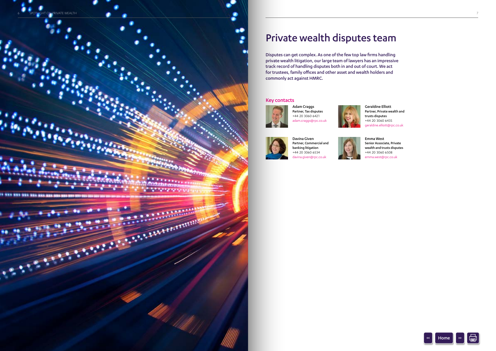## Private wealth disputes team

Disputes can get complex. As one of the few top law firms handling private wealth litigation, our large team of lawyers has an impressive track record of handling disputes both in and out of court. We act for trustees, family offices and other asset and wealth holders and commonly act against HMRC.

> Adam Craggs Partner, Tax disputes +44 20 3060 6421 adam.craggs@rpc.co.uk





Davina Given



Partner, Commercial and banking litigation +44 20 3060 6534 davina.given@rpc.co.uk



Geraldine Elliott Partner, Private wealth and trusts disputes +44 20 3060 6435 geraldine.elliott@rpc.co.uk

Emma West Senior Associate, Private wealth and trusts disputes +44 20 3060 6508 emma.west@rpc.co.uk

### Key contacts